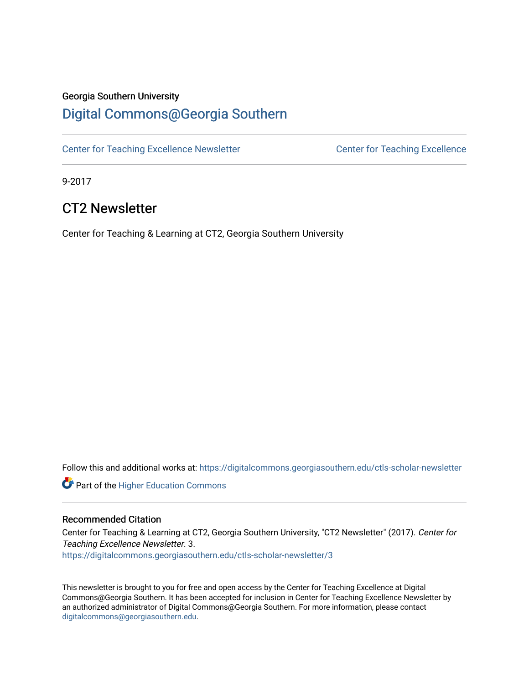## Georgia Southern University

## [Digital Commons@Georgia Southern](https://digitalcommons.georgiasouthern.edu/)

[Center for Teaching Excellence Newsletter](https://digitalcommons.georgiasouthern.edu/ctls-scholar-newsletter) Center for Teaching Excellence

9-2017

## CT2 Newsletter

Center for Teaching & Learning at CT2, Georgia Southern University

Follow this and additional works at: [https://digitalcommons.georgiasouthern.edu/ctls-scholar-newsletter](https://digitalcommons.georgiasouthern.edu/ctls-scholar-newsletter?utm_source=digitalcommons.georgiasouthern.edu%2Fctls-scholar-newsletter%2F3&utm_medium=PDF&utm_campaign=PDFCoverPages) 

**Part of the Higher Education Commons** 

#### Recommended Citation

Center for Teaching & Learning at CT2, Georgia Southern University, "CT2 Newsletter" (2017). Center for Teaching Excellence Newsletter. 3. [https://digitalcommons.georgiasouthern.edu/ctls-scholar-newsletter/3](https://digitalcommons.georgiasouthern.edu/ctls-scholar-newsletter/3?utm_source=digitalcommons.georgiasouthern.edu%2Fctls-scholar-newsletter%2F3&utm_medium=PDF&utm_campaign=PDFCoverPages) 

This newsletter is brought to you for free and open access by the Center for Teaching Excellence at Digital Commons@Georgia Southern. It has been accepted for inclusion in Center for Teaching Excellence Newsletter by an authorized administrator of Digital Commons@Georgia Southern. For more information, please contact [digitalcommons@georgiasouthern.edu.](mailto:digitalcommons@georgiasouthern.edu)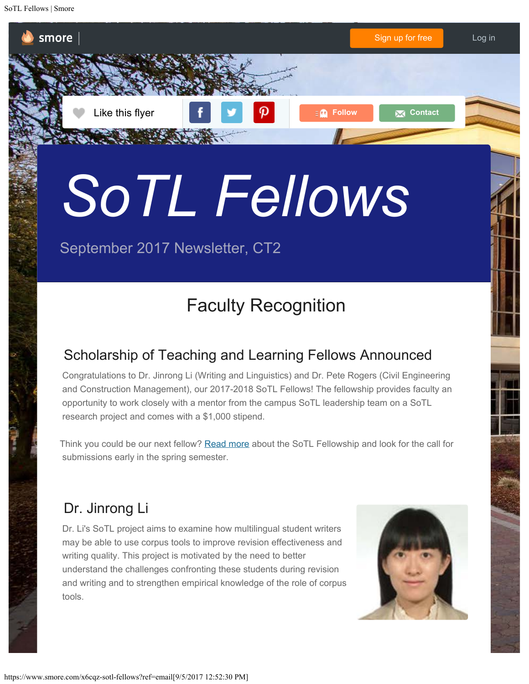SoTL Fellows | Smore

smore

# *SoTL Fellows*

# September 2017 Newsletter, CT2

# Faculty Recognition

**Like this flyer Follow Follow Contact** 

## Scholarship of Teaching and Learning Fellows Announced

Congratulations to Dr. Jinrong Li (Writing and Linguistics) and Dr. Pete Rogers (Civil Engineering and Construction Management), our 2017-2018 SoTL Fellows! The fellowship provides faculty an opportunity to work closely with a mentor from the campus SoTL leadership team on a SoTL research project and comes with a \$1,000 stipend.

Think you could be our next fellow? [Read more](http://academics.georgiasouthern.edu/sotlgsu/programs/fellows/) about the SoTL Fellowship and look for the call for submissions early in the spring semester.

## Dr. Jinrong Li

Dr. Li's SoTL project aims to examine how multilingual student writers may be able to use corpus tools to improve revision effectiveness and writing quality. This project is motivated by the need to better understand the challenges confronting these students during revision and writing and to strengthen empirical knowledge of the role of corpus tools.



[Sign up for free](https://www.smore.com/?ref=toolbar_signup) [Log in](https://www.smore.com/app/users/login)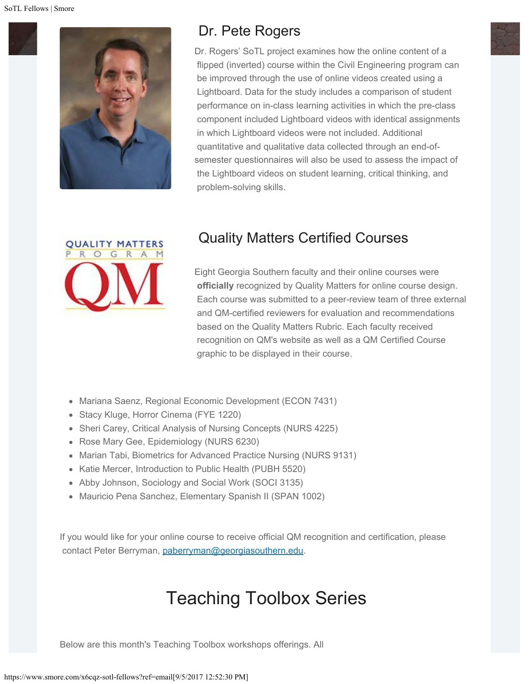

## Dr. Pete Rogers

Dr. Rogers' SoTL project examines how the online content of a flipped (inverted) course within the Civil Engineering program can be improved through the use of online videos created using a Lightboard. Data for the study includes a comparison of student performance on in-class learning activities in which the pre-class component included Lightboard videos with identical assignments in which Lightboard videos were not included. Additional quantitative and qualitative data collected through an end-ofsemester questionnaires will also be used to assess the impact of the Lightboard videos on student learning, critical thinking, and problem-solving skills.



## Quality Matters Certified Courses

Eight Georgia Southern faculty and their online courses were **officially** recognized by Quality Matters for online course design. Each course was submitted to a peer-review team of three external and QM-certified reviewers for evaluation and recommendations based on the Quality Matters Rubric. Each faculty received recognition on QM's website as well as a QM Certified Course graphic to be displayed in their course.

- Mariana Saenz, Regional Economic Development (ECON 7431)
- Stacy Kluge, Horror Cinema (FYE 1220)
- Sheri Carey, Critical Analysis of Nursing Concepts (NURS 4225)
- Rose Mary Gee, Epidemiology (NURS 6230)
- Marian Tabi, Biometrics for Advanced Practice Nursing (NURS 9131)
- Katie Mercer, Introduction to Public Health (PUBH 5520)
- Abby Johnson, Sociology and Social Work (SOCI 3135)
- Mauricio Pena Sanchez, Elementary Spanish II (SPAN 1002)

If you would like for your online course to receive official QM recognition and certification, please contact Peter Berryman, [paberryman@georgiasouthern.edu](mailto:paberryman@georgiasouthern.edu).

# [Teaching Toolbox Series](http://academics.georgiasouthern.edu/ctl/events/)

Below are this month's Teaching Toolbox workshops offerings. All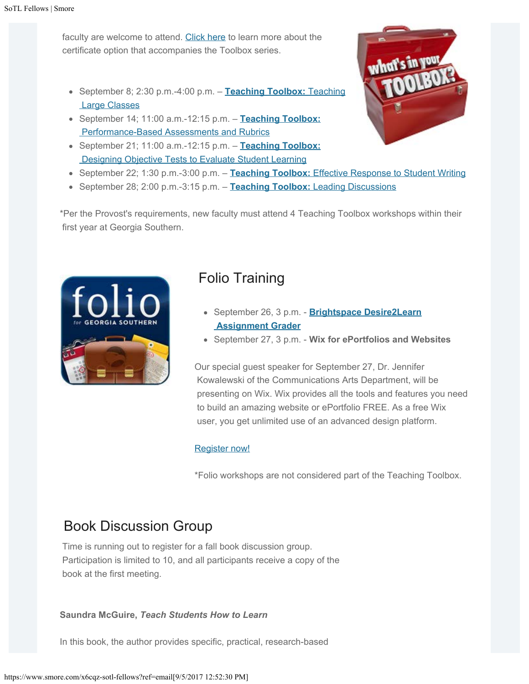faculty are welcome to attend. [Click here](http://academics.georgiasouthern.edu/ctl/certificates/new-faculty-certificate-teaching-toolkit/) to learn more about the certificate option that accompanies the Toolbox series.

- September 8; 2:30 p.m.-4:00 p.m. **[Teaching Toolbox:](https://calendar.google.com/calendar/render?eid=MWdtM2JiNzIwZG44ZmJ1ZDA3NWxmZG1nN2NfMjAxNzA5MDhUMTgzMDAwWiBjdGxAZ2VvcmdpYXNvdXRoZXJuLmVkdQ&ctz=America/New_York&sf=true&output=xml#eventpage_6)** [Teaching](https://calendar.google.com/calendar/render?eid=MWdtM2JiNzIwZG44ZmJ1ZDA3NWxmZG1nN2NfMjAxNzA5MDhUMTgzMDAwWiBjdGxAZ2VvcmdpYXNvdXRoZXJuLmVkdQ&ctz=America/New_York&sf=true&output=xml#eventpage_6)  [Large Classes](https://calendar.google.com/calendar/render?eid=MWdtM2JiNzIwZG44ZmJ1ZDA3NWxmZG1nN2NfMjAxNzA5MDhUMTgzMDAwWiBjdGxAZ2VvcmdpYXNvdXRoZXJuLmVkdQ&ctz=America/New_York&sf=true&output=xml#eventpage_6)
- September 14; 11:00 a.m.-12:15 p.m. **[Teaching Toolbox:](https://calendar.google.com/calendar/render?eid=c2ticGNwbWtlbTJlM3QwOGJldTA4aTFobGcgY3RsQGdlb3JnaWFzb3V0aGVybi5lZHU&ctz=America/New_York&sf=true&output=xml#eventpage_6)**  [Performance-Based Assessments and Rubrics](https://calendar.google.com/calendar/render?eid=c2ticGNwbWtlbTJlM3QwOGJldTA4aTFobGcgY3RsQGdlb3JnaWFzb3V0aGVybi5lZHU&ctz=America/New_York&sf=true&output=xml#eventpage_6)
- September 21; 11:00 a.m.-12:15 p.m. **[Teaching Toolbox:](https://calendar.google.com/calendar/render?eid=M3RxZ3E4N2s3dm43N291NXNsdmRnZmFkc3MgY3RsQGdlb3JnaWFzb3V0aGVybi5lZHU&ctz=America/New_York&sf=true&output=xml#eventpage_6)**  [Designing Objective Tests to Evaluate Student Learning](https://calendar.google.com/calendar/render?eid=M3RxZ3E4N2s3dm43N291NXNsdmRnZmFkc3MgY3RsQGdlb3JnaWFzb3V0aGVybi5lZHU&ctz=America/New_York&sf=true&output=xml#eventpage_6)
- September 22; 1:30 p.m.-3:00 p.m. **[Teaching Toolbox:](https://calendar.google.com/calendar/render?eid=NHV0MGc3ZmZrbDBwNGJyMDNkcnJmNnFldWUgY3RsQGdlb3JnaWFzb3V0aGVybi5lZHU&ctz=America/New_York&sf=true&output=xml#eventpage_6)** [Effective Response to Student Writing](https://calendar.google.com/calendar/render?eid=NHV0MGc3ZmZrbDBwNGJyMDNkcnJmNnFldWUgY3RsQGdlb3JnaWFzb3V0aGVybi5lZHU&ctz=America/New_York&sf=true&output=xml#eventpage_6)
- **September 28; 2:00 p.m.-3:15 p.m. [Teaching Toolbox:](https://calendar.google.com/calendar/render?eid=YWJxdTZ1MWhjbWM0b2pybTI1dmgybGc4bjAgY3RsQGdlb3JnaWFzb3V0aGVybi5lZHU&ctz=America/New_York&sf=true&output=xml#eventpage_6) [Leading Discussions](https://calendar.google.com/calendar/render?eid=YWJxdTZ1MWhjbWM0b2pybTI1dmgybGc4bjAgY3RsQGdlb3JnaWFzb3V0aGVybi5lZHU&ctz=America/New_York&sf=true&output=xml#eventpage_6)**

\*Per the Provost's requirements, new faculty must attend 4 Teaching Toolbox workshops within their first year at Georgia Southern.



## Folio Training

- September 26, 3 p.m. **[Brightspace Desire2Learn](http://academics.georgiasouthern.edu/col/folio-support/technical-workshops/)  [Assignment Grader](http://academics.georgiasouthern.edu/col/folio-support/technical-workshops/)**
- September 27, 3 p.m. - **Wix for ePortfolios and Websites**

Our special guest speaker for September 27, Dr. Jennifer Kowalewski of the Communications Arts Department, will be presenting on Wix. Wix provides all the tools and features you need to build an amazing website or ePortfolio FREE. As a free Wix user, you get unlimited use of an advanced design platform.

#### [Register now!](https://georgiasouthern.gosignmeup.com/Public/Membership/Login?returnUrl=https%3A%2F%2Fgeorgiasouthern.gosignmeup.com%2FPublic%2FCourse%2FBrowse)

\*Folio workshops are not considered part of the Teaching Toolbox.

## Book Discussion Group

Time is running out to register for a fall book discussion group. Participation is limited to 10, and all participants receive a copy of the book at the first meeting.

#### **Saundra McGuire,** *Teach Students How to Learn*

In this book, the author provides specific, practical, research-based

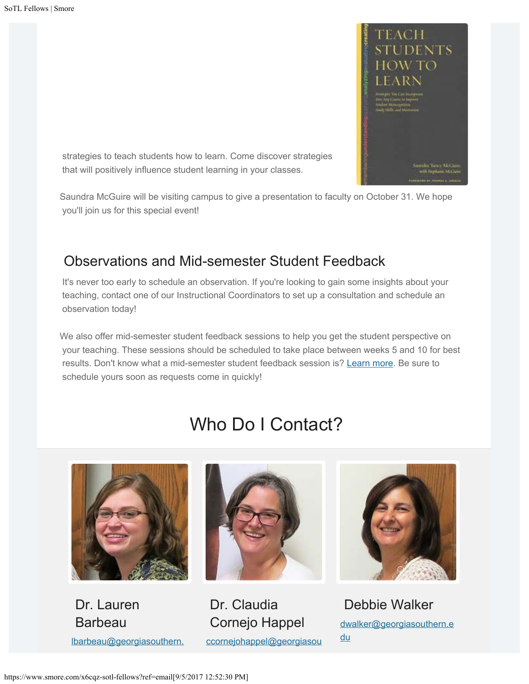

 strategies to teach students how to learn. Come discover strategies that will positively influence student learning in your classes.

Saundra McGuire will be visiting campus to give a presentation to faculty on October 31. We hope you'll join us for this special event!

## Observations and Mid-semester Student Feedback

It's never too early to schedule an observation. If you're looking to gain some insights about your teaching, contact one of our Instructional Coordinators to set up a consultation and schedule an observation today!

We also offer mid-semester student feedback sessions to help you get the student perspective on your teaching. These sessions should be scheduled to take place between weeks 5 and 10 for best results. Don't know what a mid-semester student feedback session is? [Learn more](http://academics.georgiasouthern.edu/ctl/feedback/). Be sure to schedule yours soon as requests come in quickly!

# Who Do I Contact?



 Dr. Lauren Barbeau [lbarbeau@georgiasouthern.](mailto:lbarbeau@georgiasouthern.edu)



 Dr. Claudia Cornejo Happel [ccornejohappel@georgiasou](mailto:ccornejohappel@georgiasouthern.edu)



 Debbie Walker [dwalker@georgiasouthern.e](mailto:dwalker@georgiasouthern.edu) [du](mailto:dwalker@georgiasouthern.edu)